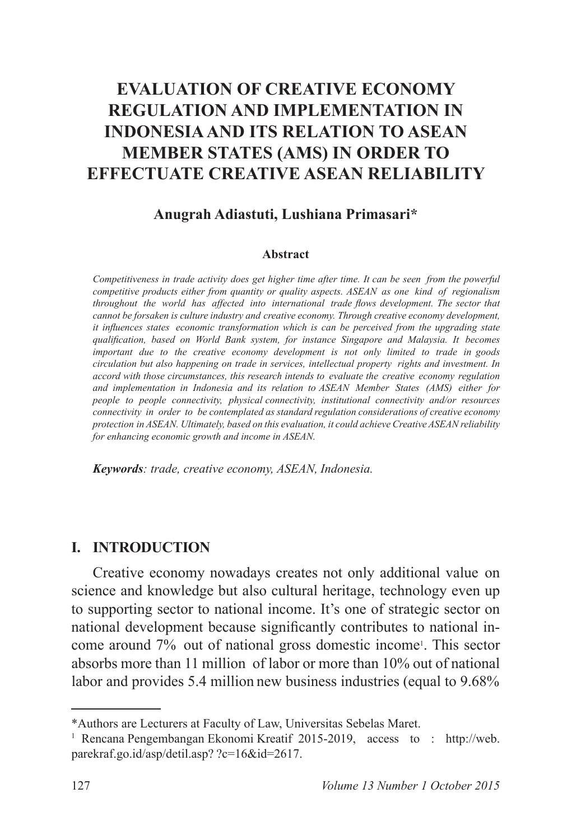# **EVALUATION OF CREATIVE ECONOMY REGULATION AND IMPLEMENTATION IN INDONESIA AND ITS RELATION TO ASEAN MEMBER STATES (AMS) IN ORDER TO EFFECTUATE CREATIVE ASEAN RELIABILITY**

#### **Anugrah Adiastuti, Lushiana Primasari\***

#### **Abstract**

*Competitiveness in trade activity does get higher time after time. It can be seen from the powerful competitive products either from quantity or quality aspects. ASEAN as one kind of regionalism*  throughout the world has affected into international trade flows development. The sector that *cannot be forsaken is culture industry and creative economy. Through creative economy development, it influences states economic transformation which is can be perceived from the upgrading state* qualification, based on World Bank system, for instance Singapore and Malaysia. It becomes *important due to the creative economy development is not only limited to trade in goods circulation but also happening on trade in services, intellectual property rights and investment. In accord with those circumstances, this research intends to evaluate the creative economy regulation and implementation in Indonesia and its relation to ASEAN Member States (AMS) either for people to people connectivity, physical connectivity, institutional connectivity and/or resources connectivity in order to be contemplated as standard regulation considerations of creative economy protection in ASEAN. Ultimately, based on this evaluation, it could achieve Creative ASEAN reliability for enhancing economic growth and income in ASEAN.*

*Keywords: trade, creative economy, ASEAN, Indonesia.*

#### **I. INTRODUCTION**

Creative economy nowadays creates not only additional value on science and knowledge but also cultural heritage, technology even up to supporting sector to national income. It's one of strategic sector on national development because significantly contributes to national income around 7% out of national gross domestic income<sup>1</sup>. This sector absorbs more than 11 million of labor or more than 10% out of national labor and provides 5.4 million new business industries (equal to 9.68%)

<sup>\*</sup>Authors are Lecturers at Faculty of Law, Universitas Sebelas Maret.

<sup>&</sup>lt;sup>1</sup> Rencana Pengembangan Ekonomi Kreatif 2015-2019, access to: http://web. parekraf.go.id/asp/detil.asp? ?c=16&id=2617.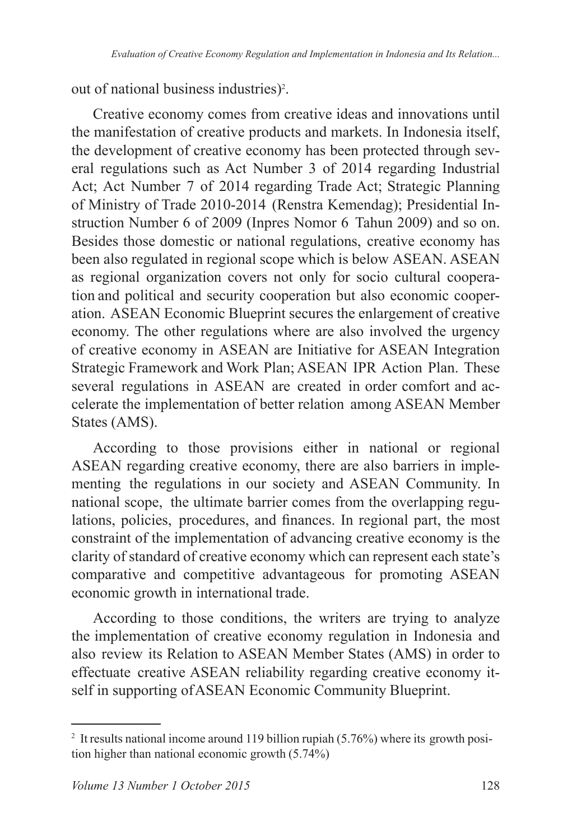out of national business industries) .

Creative economy comes from creative ideas and innovations until the manifestation of creative products and markets. In Indonesia itself, the development of creative economy has been protected through several regulations such as Act Number 3 of 2014 regarding Industrial Act: Act Number 7 of 2014 regarding Trade Act: Strategic Planning of Ministry of Trade 2010-2014 (Renstra Kemendag); Presidential Instruction Number 6 of 2009 (Inpres Nomor 6 Tahun 2009) and so on. Besides those domestic or national regulations, creative economy has been also regulated in regional scope which is below ASEAN. ASEAN as regional organization covers not only for socio cultural cooperation and political and security cooperation but also economic cooperation. ASEAN Economic Blueprint secures the enlargement of creative economy. The other regulations where are also involved the urgency of creative economy in ASEAN are Initiative for ASEAN Integration Strategic Framework and Work Plan; ASEAN IPR Action Plan. These several regulations in ASEAN are created in order comfort and accelerate the implementation of better relation among ASEAN Member States (AMS).

According to those provisions either in national or regional ASEAN regarding creative economy, there are also barriers in implementing the regulations in our society and ASEAN Community. In national scope, the ultimate barrier comes from the overlapping regulations, policies, procedures, and finances. In regional part, the most constraint of the implementation of advancing creative economy is the clarity of standard of creative economy which can represent each state's comparative and competitive advantageous for promoting ASEAN economic growth in international trade.

According to those conditions, the writers are trying to analyze the implementation of creative economy regulation in Indonesia and also review its Relation to ASEAN Member States (AMS) in order to effectuate creative ASEAN reliability regarding creative economy itself in supporting of ASEAN Economic Community Blueprint.

<sup>&</sup>lt;sup>2</sup> It results national income around 119 billion rupiah  $(5.76\%)$  where its growth position higher than national economic growth  $(5.74\%)$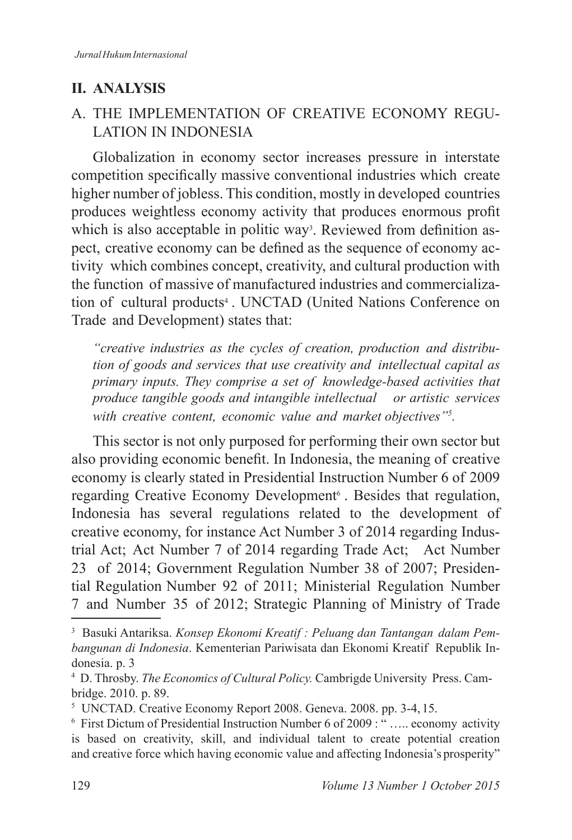## **II. ANALYSIS**

## A. THE IMPLEMENTATION OF CREATIVE ECONOMY REGU-LATION IN INDONESIA

Globalization in economy sector increases pressure in interstate competition specifically massive conventional industries which create higher number of jobless. This condition, mostly in developed countries produces weightless economy activity that produces enormous profit which is also acceptable in politic way<sup>3</sup>. Reviewed from definition aspect, creative economy can be defined as the sequence of economy activity which combines concept, creativity, and cultural production with the function of massive of manufactured industries and commercialization of cultural products<sup>4</sup>. UNCTAD (United Nations Conference on Trade and Development) states that:

*"creative industries as the cycles of creation, production and distribution of goods and services that use creativity and intellectual capital as primary inputs. They comprise a set of knowledge-based activities that produce tangible goods and intangible intellectual or artistic services with creative content, economic value and market objectives"<sup>5</sup> .*

This sector is not only purposed for performing their own sector but also providing economic benefit. In Indonesia, the meaning of creative economy is clearly stated in Presidential Instruction Number 6 of 2009 regarding Creative Economy Development<sup>6</sup>. Besides that regulation, Indonesia has several regulations related to the development of creative economy, for instance Act Number 3 of 2014 regarding Industrial Act; Act Number 7 of 2014 regarding Trade Act; Act Number 23 of 2014; Government Regulation Number 38 of 2007; Presidential Regulation Number 92 of 2011; Ministerial Regulation Number 7 and Number 35 of 2012; Strategic Planning of Ministry of Trade

<sup>3</sup> Basuki Antariksa. *Konsep Ekonomi Kreatif : Peluang dan Tantangan dalam Pembangunan di Indonesia*. Kementerian Pariwisata dan Ekonomi Kreatif Republik Indonesia. p. 3

<sup>4</sup> D. Throsby. *The Economics of Cultural Policy.* Cambrigde University Press. Cambridge. 2010. p. 89.

<sup>&</sup>lt;sup>5</sup> UNCTAD. Creative Economy Report 2008. Geneva. 2008. pp. 3-4, 15.

 $6$  First Dictum of Presidential Instruction Number 6 of 2009 : "..... economy activity is based on creativity, skill, and individual talent to create potential creation and creative force which having economic value and affecting Indonesia's prosperity"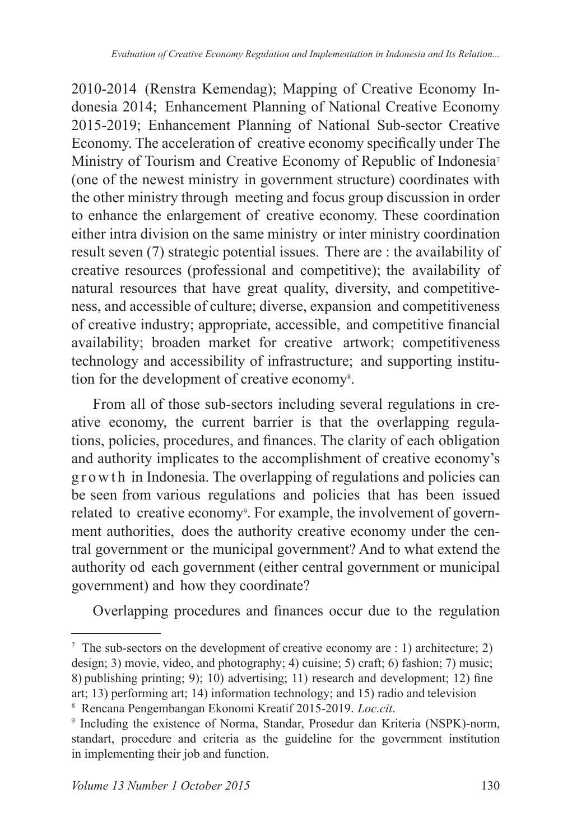2010-2014 (Renstra Kemendag); Mapping of Creative Economy Indonesia 2014; Enhancement Planning of National Creative Economy 2015-2019; Enhancement Planning of National Sub-sector Creative Economy. The acceleration of creative economy specifically under The Ministry of Tourism and Creative Economy of Republic of Indonesia (one of the newest ministry in government structure) coordinates with the other ministry through meeting and focus group discussion in order to enhance the enlargement of creative economy. These coordination either intra division on the same ministry or inter ministry coordination result seven  $(7)$  strategic potential issues. There are : the availability of creative resources (professional and competitive); the availability of natural resources that have great quality, diversity, and competitiveness, and accessible of culture; diverse, expansion and competitiveness of creative industry; appropriate, accessible, and competitive financial availability; broaden market for creative artwork; competitiveness technology and accessibility of infrastructure; and supporting institution for the development of creative economy<sup>8</sup>.

From all of those sub-sectors including several regulations in creative economy, the current barrier is that the overlapping regulations, policies, procedures, and finances. The clarity of each obligation and authority implicates to the accomplishment of creative economy's g r o w th in Indonesia. The overlapping of regulations and policies can be seen from various regulations and policies that has been issued related to creative economy<sup>9</sup>. For example, the involvement of government authorities, does the authority creative economy under the central government or the municipal government? And to what extend the authority od each government (either central government or municipal government) and how they coordinate?

Overlapping procedures and finances occur due to the regulation

<sup>&</sup>lt;sup>7</sup> The sub-sectors on the development of creative economy are : 1) architecture; 2) design; 3) movie, video, and photography; 4) cuisine; 5) craft; 6) fashion; 7) music; 8) publishing printing; 9); 10) advertising; 11) research and development; 12) fine art; 13) performing art; 14) information technology; and 15) radio and television

<sup>&</sup>lt;sup>8</sup> Rencana Pengembangan Ekonomi Kreatif 2015-2019. Loc.cit.

<sup>9</sup> Including the existence of Norma, Standar, Prosedur dan Kriteria (NSPK)-norm, standart, procedure and criteria as the guideline for the government institution in implementing their job and function.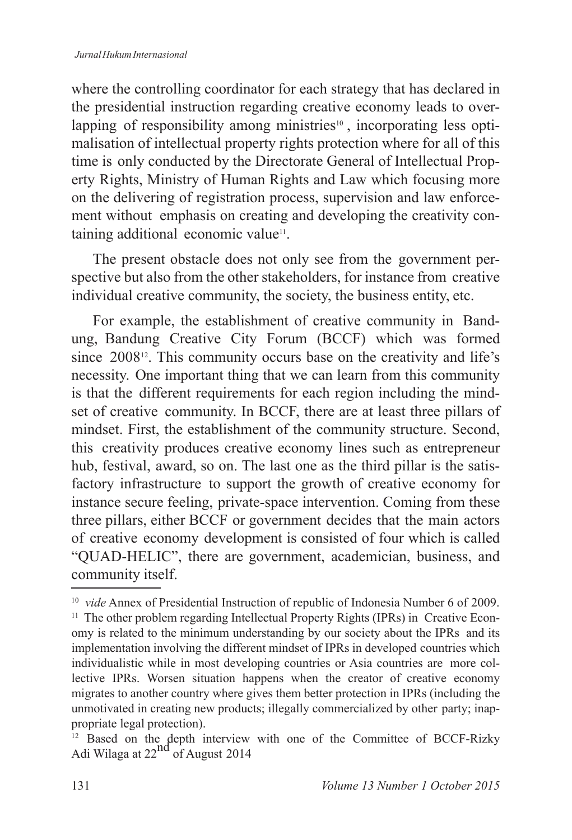where the controlling coordinator for each strategy that has declared in the presidential instruction regarding creative economy leads to overlapping of responsibility among ministries<sup>10</sup>, incorporating less optimalisation of intellectual property rights protection where for all of this time is only conducted by the Directorate General of Intellectual Property Rights, Ministry of Human Rights and Law which focusing more on the delivering of registration process, supervision and law enforcement without emphasis on creating and developing the creativity containing additional economic value<sup>11</sup>.

The present obstacle does not only see from the government perspective but also from the other stakeholders, for instance from creative individual creative community, the society, the business entity, etc.

For example, the establishment of creative community in Bandung, Bandung Creative City Forum (BCCF) which was formed since  $2008^{12}$ . This community occurs base on the creativity and life's necessity. One important thing that we can learn from this community is that the different requirements for each region including the mindset of creative community. In BCCF, there are at least three pillars of mindset. First, the establishment of the community structure. Second, this creativity produces creative economy lines such as entrepreneur hub, festival, award, so on. The last one as the third pillar is the satisfactory infrastructure to support the growth of creative economy for instance secure feeling, private-space intervention. Coming from these three pillars, either BCCF or government decides that the main actors of creative economy development is consisted of four which is called "QUAD-HELIC", there are government, academician, business, and community itself.

<sup>&</sup>lt;sup>10</sup> vide Annex of Presidential Instruction of republic of Indonesia Number 6 of 2009. <sup>11</sup> The other problem regarding Intellectual Property Rights (IPRs) in Creative Economy is related to the minimum understanding by our society about the IPRs and its implementation involving the different mindset of IPRs in developed countries which individualistic while in most developing countries or Asia countries are more collective IPRs. Worsen situation happens when the creator of creative economy migrates to another country where gives them better protection in IPRs (including the unmotivated in creating new products; illegally commercialized by other party; inappropriate legal protection).

<sup>&</sup>lt;sup>12</sup> Based on the depth interview with one of the Committee of BCCF-Rizky Adi Wilaga at  $22^{nd}$  of August 2014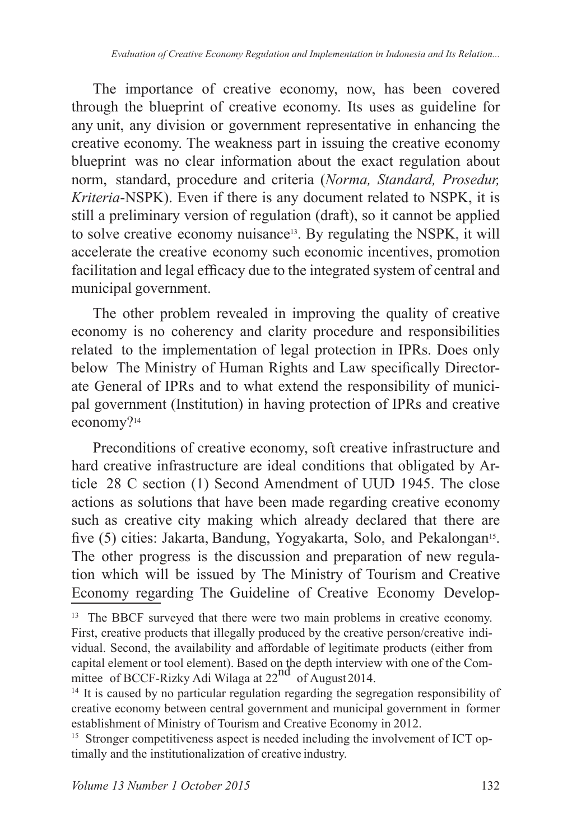The importance of creative economy, now, has been covered through the blueprint of creative economy. Its uses as guideline for any unit, any division or government representative in enhancing the creative economy. The weakness part in issuing the creative economy blueprint was no clear information about the exact regulation about norm, standard, procedure and criteria (*Norma, Standard, Prosedur, Kriteria*-NSPK). Even if there is any document related to NSPK, it is still a preliminary version of regulation (draft), so it cannot be applied to solve creative economy nuisance13. By regulating the NSPK, it will accelerate the creative economy such economic incentives, promotion facilitation and legal efficacy due to the integrated system of central and municipal government.

The other problem revealed in improving the quality of creative economy is no coherency and clarity procedure and responsibilities related to the implementation of legal protection in IPRs. Does only below The Ministry of Human Rights and Law specifically Directorate General of IPRs and to what extend the responsibility of municipal government (Institution) in having protection of IPRs and creative economy?<sup>14</sup>

Preconditions of creative economy, soft creative infrastructure and hard creative infrastructure are ideal conditions that obligated by Article 28 C section (1) Second Amendment of UUD 1945. The close actions as solutions that have been made regarding creative economy such as creative city making which already declared that there are five (5) cities: Jakarta, Bandung, Yogyakarta, Solo, and Pekalongan<sup>15</sup>. The other progress is the discussion and preparation of new regulation which will be issued by The Ministry of Tourism and Creative Economy regarding The Guideline of Creative Economy Develop-

<sup>&</sup>lt;sup>13</sup> The BBCF surveyed that there were two main problems in creative economy. First, creative products that illegally produced by the creative person/creative individual. Second, the availability and affordable of legitimate products (either from capital element or tool element). Based on the depth interview with one of the Committee of BCCF-Rizky Adi Wilaga at  $22^{nd}$  of August 2014.

<sup>&</sup>lt;sup>14</sup> It is caused by no particular regulation regarding the segregation responsibility of creative economy between central government and municipal government in former establishment of Ministry of Tourism and Creative Economy in 2012.

<sup>&</sup>lt;sup>15</sup> Stronger competitiveness aspect is needed including the involvement of ICT optimally and the institutionalization of creative industry.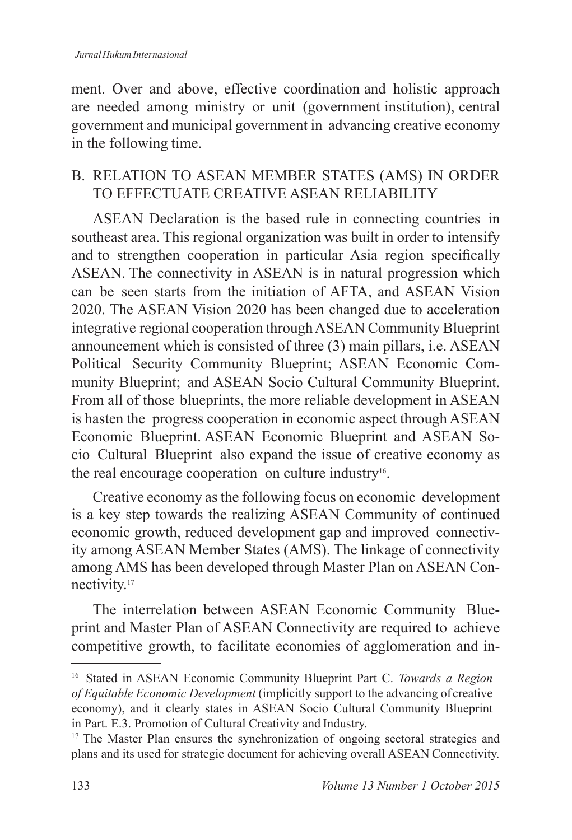ment. Over and above, effective coordination and holistic approach are needed among ministry or unit (government institution), central government and municipal government in advancing creative economy in the following time.

## B. RELATION TO ASEAN MEMBER STATES (AMS) IN ORDER TO EFFECTUATE CREATIVE ASEAN RELIABILITY

ASEAN Declaration is the based rule in connecting countries in southeast area. This regional organization was built in order to intensify and to strengthen cooperation in particular Asia region specifically ASEAN. The connectivity in ASEAN is in natural progression which can be seen starts from the initiation of AFTA, and ASEAN Vision 2020. The ASEAN Vision 2020 has been changed due to acceleration integrative regional cooperation through ASEAN Community Blueprint announcement which is consisted of three (3) main pillars, i.e. ASEAN Political Security Community Blueprint; ASEAN Economic Community Blueprint; and ASEAN Socio Cultural Community Blueprint. From all of those blueprints, the more reliable development in ASEAN is hasten the progress cooperation in economic aspect through ASEAN Economic Blueprint. ASEAN Economic Blueprint and ASEAN Socio Cultural Blueprint also expand the issue of creative economy as the real encourage cooperation on culture industry<sup>16</sup>.

Creative economy as the following focus on economic development is a key step towards the realizing ASEAN Community of continued economic growth, reduced development gap and improved connectivity among ASEAN Member States (AMS). The linkage of connectivity among AMS has been developed through Master Plan on ASEAN Connectivity.

The interrelation between ASEAN Economic Community Blueprint and Master Plan of ASEAN Connectivity are required to achieve competitive growth, to facilitate economies of agglomeration and in-

<sup>16</sup> Stated in ASEAN Economic Community Blueprint Part C. *Towards a Region of Equitable Economic Development* (implicitly support to the advancing of creative economy), and it clearly states in ASEAN Socio Cultural Community Blueprint in Part. E.3. Promotion of Cultural Creativity and Industry.

<sup>&</sup>lt;sup>17</sup> The Master Plan ensures the synchronization of ongoing sectoral strategies and plans and its used for strategic document for achieving overall ASEAN Connectivity.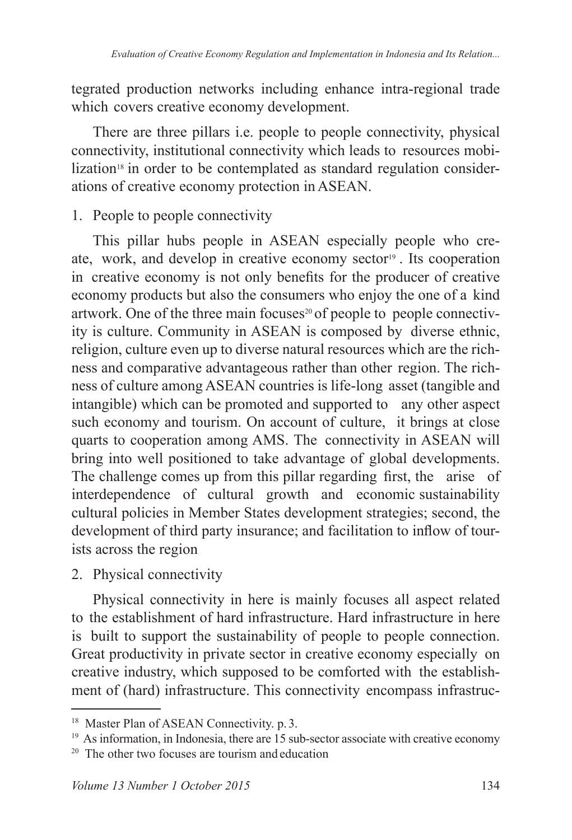tegrated production networks including enhance intra-regional trade which covers creative economy development.

There are three pillars i.e. people to people connectivity, physical connectivity, institutional connectivity which leads to resources mobilization<sup>18</sup> in order to be contemplated as standard regulation considerations of creative economy protection in ASEAN.

1. People to people connectivity

This pillar hubs people in ASEAN especially people who create, work, and develop in creative economy sector<sup>19</sup>. Its cooperation in creative economy is not only benefits for the producer of creative economy products but also the consumers who enjoy the one of a kind artwork. One of the three main focuses<sup>20</sup> of people to people connectivity is culture. Community in ASEAN is composed by diverse ethnic, religion, culture even up to diverse natural resources which are the richness and comparative advantageous rather than other region. The richness of culture among ASEAN countries is life-long asset (tangible and intangible) which can be promoted and supported to any other aspect such economy and tourism. On account of culture, it brings at close quarts to cooperation among AMS. The connectivity in ASEAN will bring into well positioned to take advantage of global developments. The challenge comes up from this pillar regarding first, the arise of interdependence of cultural growth and economic sustainability cultural policies in Member States development strategies; second, the development of third party insurance; and facilitation to inflow of tourists across the region

2. Physical connectivity

Physical connectivity in here is mainly focuses all aspect related to the establishment of hard infrastructure. Hard infrastructure in here is built to support the sustainability of people to people connection. Great productivity in private sector in creative economy especially on creative industry, which supposed to be comforted with the establishment of (hard) infrastructure. This connectivity encompass infrastruc-

<sup>&</sup>lt;sup>18</sup> Master Plan of ASEAN Connectivity. p. 3.

 $19$  As information, in Indonesia, there are 15 sub-sector associate with creative economy

 $20$  The other two focuses are tourism and education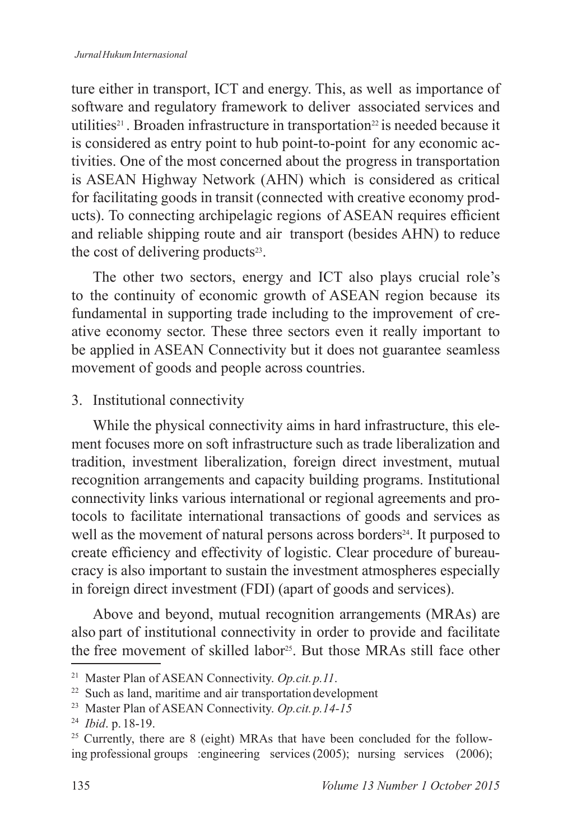#### *Jurnal Hukum Internasional*

ture either in transport, ICT and energy. This, as well as importance of software and regulatory framework to deliver associated services and utilities<sup>21</sup>. Broaden infrastructure in transportation<sup>22</sup> is needed because it is considered as entry point to hub point-to-point for any economic activities. One of the most concerned about the progress in transportation is ASEAN Highway Network (AHN) which is considered as critical for facilitating goods in transit (connected with creative economy products). To connecting archipelagic regions of ASEAN requires efficient and reliable shipping route and air transport (besides AHN) to reduce the cost of delivering products<sup>23</sup>.

The other two sectors, energy and ICT also plays crucial role's to the continuity of economic growth of ASEAN region because its fundamental in supporting trade including to the improvement of creative economy sector. These three sectors even it really important to be applied in ASEAN Connectivity but it does not guarantee seamless movement of goods and people across countries.

### 3. Institutional connectivity

While the physical connectivity aims in hard infrastructure, this element focuses more on soft infrastructure such as trade liberalization and tradition, investment liberalization, foreign direct investment, mutual recognition arrangements and capacity building programs. Institutional connectivity links various international or regional agreements and protocols to facilitate international transactions of goods and services as well as the movement of natural persons across borders<sup>24</sup>. It purposed to create efficiency and effectivity of logistic. Clear procedure of bureaucracy is also important to sustain the investment atmospheres especially in foreign direct investment (FDI) (apart of goods and services).

Above and beyond, mutual recognition arrangements (MRAs) are also part of institutional connectivity in order to provide and facilitate the free movement of skilled labor<sup>25</sup>. But those MRAs still face other

Master Plan of ASEAN Connectivity. *Op.cit. p.11*.

 $22$  Such as land, maritime and air transportation development

Master Plan of ASEAN Connectivity. *Op.cit. p.14-15*

 *Ibid*. p. 18-19.

 $25$  Currently, there are 8 (eight) MRAs that have been concluded for the following professional groups :engineering services  $(2005)$ ; nursing services  $(2006)$ ;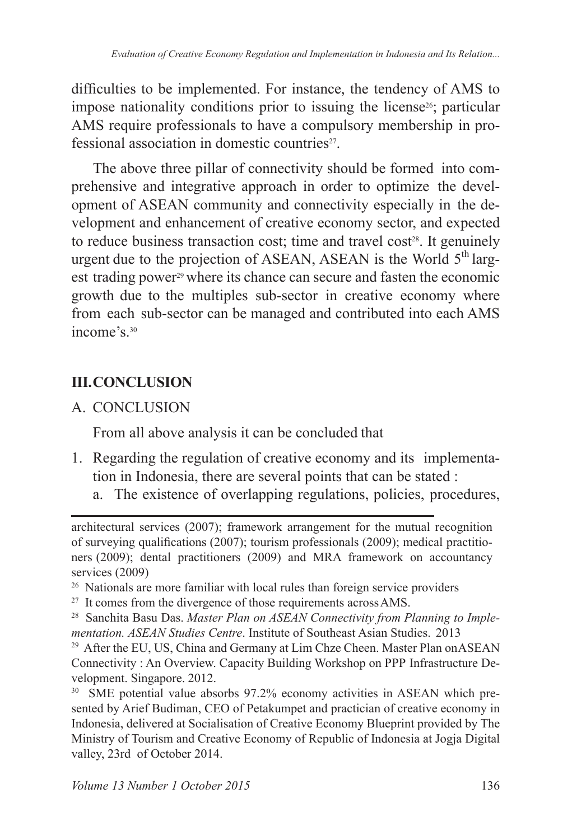difficulties to be implemented. For instance, the tendency of AMS to impose nationality conditions prior to issuing the license<sup>26</sup>; particular AMS require professionals to have a compulsory membership in professional association in domestic countries .

The above three pillar of connectivity should be formed into comprehensive and integrative approach in order to optimize the development of ASEAN community and connectivity especially in the development and enhancement of creative economy sector, and expected to reduce business transaction cost; time and travel cost $2^s$ . It genuinely urgent due to the projection of ASEAN, ASEAN is the World  $5<sup>th</sup>$  largest trading power<sup>29</sup> where its chance can secure and fasten the economic growth due to the multiples sub-sector in creative economy where from each sub-sector can be managed and contributed into each AMS income's 30

# **III. CONCLUSION**

A. CONCLUSION

From all above analysis it can be concluded that

- 1. Regarding the regulation of creative economy and its implementation in Indonesia, there are several points that can be stated :
	- a. The existence of overlapping regulations, policies, procedures,

architectural services (2007); framework arrangement for the mutual recognition of surveying qualifications  $(2007)$ ; tourism professionals  $(2009)$ ; medical practitioners (2009); dental practitioners (2009) and MRA framework on accountancy services (2009)

<sup>26</sup> Nationals are more familiar with local rules than foreign service providers

<sup>&</sup>lt;sup>27</sup> It comes from the divergence of those requirements across AMS.

<sup>&</sup>lt;sup>28</sup> Sanchita Basu Das. Master Plan on ASEAN Connectivity from Planning to Imple*mentation. ASEAN Studies Centre.* Institute of Southeast Asian Studies. 2013

<sup>&</sup>lt;sup>29</sup> After the EU, US, China and Germany at Lim Chze Cheen. Master Plan on ASEAN Connectivity: An Overview. Capacity Building Workshop on PPP Infrastructure Development. Singapore. 2012.

 $30$  SME potential value absorbs 97.2% economy activities in ASEAN which presented by Arief Budiman, CEO of Petakumpet and practician of creative economy in Indonesia, delivered at Socialisation of Creative Economy Blueprint provided by The Ministry of Tourism and Creative Economy of Republic of Indonesia at Jogja Digital valley, 23rd of October 2014.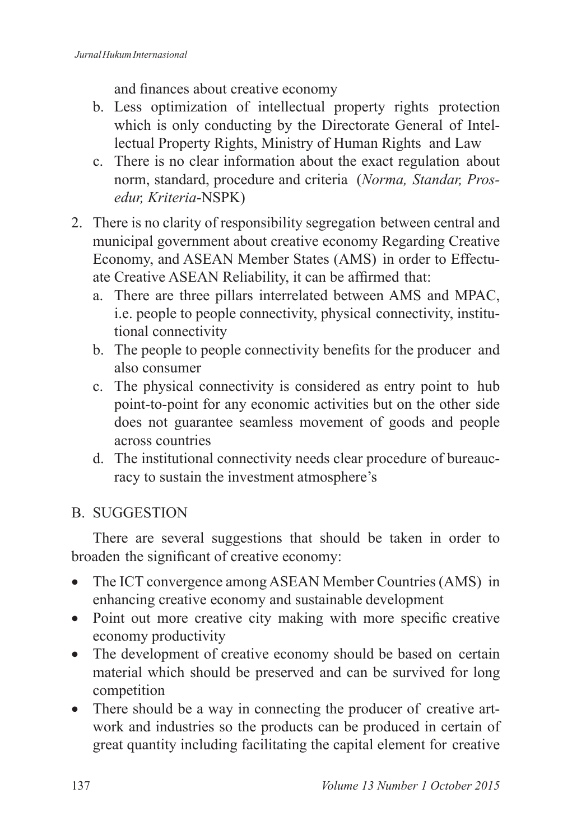and finances about creative economy

- b. Less optimization of intellectual property rights protection which is only conducting by the Directorate General of Intellectual Property Rights, Ministry of Human Rights and Law
- c. There is no clear information about the exact regulation about norm, standard, procedure and criteria (*Norma, Standar, Prosedur, Kriteria*-NSPK)
- 2. There is no clarity of responsibility segregation between central and municipal government about creative economy Regarding Creative Economy, and ASEAN Member States (AMS) in order to Effectuate Creative ASEAN Reliability, it can be affirmed that:
	- a. There are three pillars interrelated between AMS and MPAC, i.e. people to people connectivity, physical connectivity, institutional connectivity
	- b. The people to people connectivity benefits for the producer and also consumer
	- c. The physical connectivity is considered as entry point to hub point-to-point for any economic activities but on the other side does not guarantee seamless movement of goods and people across countries
	- d. The institutional connectivity needs clear procedure of bureaucracy to sustain the investment atmosphere's

# B. SUGGESTION

There are several suggestions that should be taken in order to broaden the significant of creative economy:

- The ICT convergence among ASEAN Member Countries (AMS) in enhancing creative economy and sustainable development
- Point out more creative city making with more specific creative economy productivity
- The development of creative economy should be based on certain material which should be preserved and can be survived for long competition
- There should be a way in connecting the producer of creative artwork and industries so the products can be produced in certain of great quantity including facilitating the capital element for creative